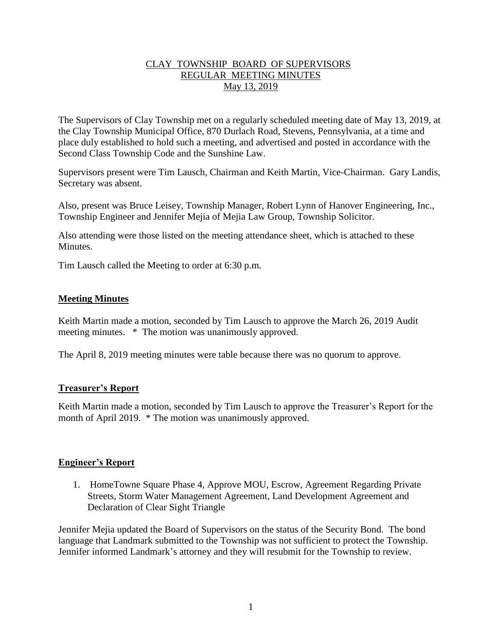## CLAY TOWNSHIP BOARD OF SUPERVISORS REGULAR MEETING MINUTES May 13, 2019

The Supervisors of Clay Township met on a regularly scheduled meeting date of May 13, 2019, at the Clay Township Municipal Office, 870 Durlach Road, Stevens, Pennsylvania, at a time and place duly established to hold such a meeting, and advertised and posted in accordance with the Second Class Township Code and the Sunshine Law.

Supervisors present were Tim Lausch, Chairman and Keith Martin, Vice-Chairman. Gary Landis, Secretary was absent.

Also, present was Bruce Leisey, Township Manager, Robert Lynn of Hanover Engineering, Inc., Township Engineer and Jennifer Mejia of Mejia Law Group, Township Solicitor.

Also attending were those listed on the meeting attendance sheet, which is attached to these **Minutes** 

Tim Lausch called the Meeting to order at 6:30 p.m.

## **Meeting Minutes**

Keith Martin made a motion, seconded by Tim Lausch to approve the March 26, 2019 Audit meeting minutes. \* The motion was unanimously approved.

The April 8, 2019 meeting minutes were table because there was no quorum to approve.

## **Treasurer's Report**

Keith Martin made a motion, seconded by Tim Lausch to approve the Treasurer's Report for the month of April 2019. \* The motion was unanimously approved.

## **Engineer's Report**

1. HomeTowne Square Phase 4, Approve MOU, Escrow, Agreement Regarding Private Streets, Storm Water Management Agreement, Land Development Agreement and Declaration of Clear Sight Triangle

Jennifer Mejia updated the Board of Supervisors on the status of the Security Bond. The bond language that Landmark submitted to the Township was not sufficient to protect the Township. Jennifer informed Landmark's attorney and they will resubmit for the Township to review.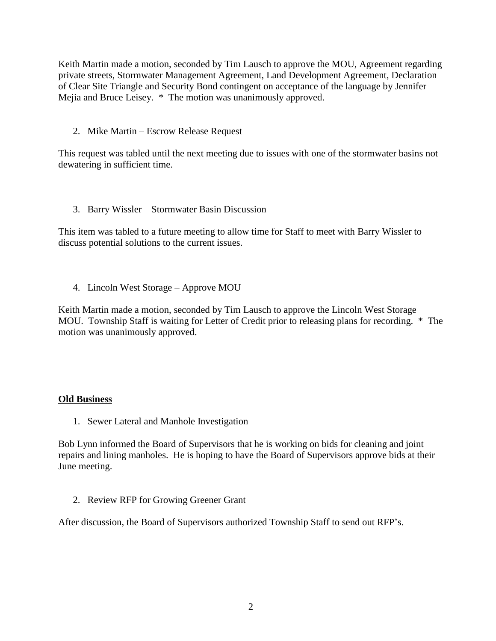Keith Martin made a motion, seconded by Tim Lausch to approve the MOU, Agreement regarding private streets, Stormwater Management Agreement, Land Development Agreement, Declaration of Clear Site Triangle and Security Bond contingent on acceptance of the language by Jennifer Mejia and Bruce Leisey. \* The motion was unanimously approved.

2. Mike Martin – Escrow Release Request

This request was tabled until the next meeting due to issues with one of the stormwater basins not dewatering in sufficient time.

3. Barry Wissler – Stormwater Basin Discussion

This item was tabled to a future meeting to allow time for Staff to meet with Barry Wissler to discuss potential solutions to the current issues.

4. Lincoln West Storage – Approve MOU

Keith Martin made a motion, seconded by Tim Lausch to approve the Lincoln West Storage MOU. Township Staff is waiting for Letter of Credit prior to releasing plans for recording. \* The motion was unanimously approved.

## **Old Business**

1. Sewer Lateral and Manhole Investigation

Bob Lynn informed the Board of Supervisors that he is working on bids for cleaning and joint repairs and lining manholes. He is hoping to have the Board of Supervisors approve bids at their June meeting.

2. Review RFP for Growing Greener Grant

After discussion, the Board of Supervisors authorized Township Staff to send out RFP's.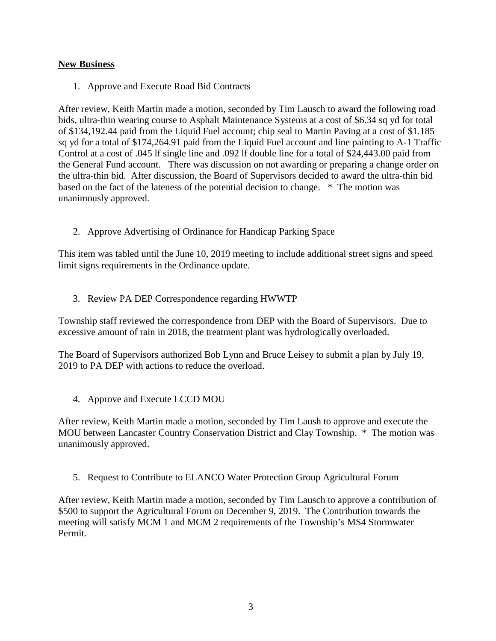## **New Business**

1. Approve and Execute Road Bid Contracts

After review, Keith Martin made a motion, seconded by Tim Lausch to award the following road bids, ultra-thin wearing course to Asphalt Maintenance Systems at a cost of \$6.34 sq yd for total of \$134,192.44 paid from the Liquid Fuel account; chip seal to Martin Paving at a cost of \$1.185 sq yd for a total of \$174,264.91 paid from the Liquid Fuel account and line painting to A-1 Traffic Control at a cost of .045 lf single line and .092 lf double line for a total of \$24,443.00 paid from the General Fund account. There was discussion on not awarding or preparing a change order on the ultra-thin bid. After discussion, the Board of Supervisors decided to award the ultra-thin bid based on the fact of the lateness of the potential decision to change. \* The motion was unanimously approved.

2. Approve Advertising of Ordinance for Handicap Parking Space

This item was tabled until the June 10, 2019 meeting to include additional street signs and speed limit signs requirements in the Ordinance update.

3. Review PA DEP Correspondence regarding HWWTP

Township staff reviewed the correspondence from DEP with the Board of Supervisors. Due to excessive amount of rain in 2018, the treatment plant was hydrologically overloaded.

The Board of Supervisors authorized Bob Lynn and Bruce Leisey to submit a plan by July 19, 2019 to PA DEP with actions to reduce the overload.

4. Approve and Execute LCCD MOU

After review, Keith Martin made a motion, seconded by Tim Laush to approve and execute the MOU between Lancaster Country Conservation District and Clay Township. \* The motion was unanimously approved.

5. Request to Contribute to ELANCO Water Protection Group Agricultural Forum

After review, Keith Martin made a motion, seconded by Tim Lausch to approve a contribution of \$500 to support the Agricultural Forum on December 9, 2019. The Contribution towards the meeting will satisfy MCM 1 and MCM 2 requirements of the Township's MS4 Stormwater Permit.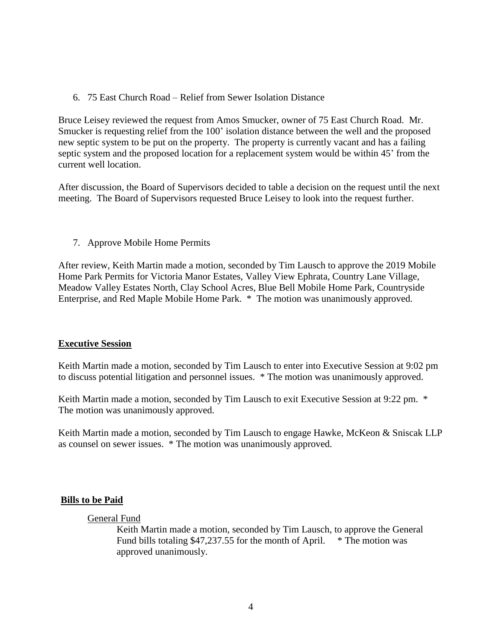6. 75 East Church Road – Relief from Sewer Isolation Distance

Bruce Leisey reviewed the request from Amos Smucker, owner of 75 East Church Road. Mr. Smucker is requesting relief from the 100' isolation distance between the well and the proposed new septic system to be put on the property. The property is currently vacant and has a failing septic system and the proposed location for a replacement system would be within 45' from the current well location.

After discussion, the Board of Supervisors decided to table a decision on the request until the next meeting. The Board of Supervisors requested Bruce Leisey to look into the request further.

7. Approve Mobile Home Permits

After review, Keith Martin made a motion, seconded by Tim Lausch to approve the 2019 Mobile Home Park Permits for Victoria Manor Estates, Valley View Ephrata, Country Lane Village, Meadow Valley Estates North, Clay School Acres, Blue Bell Mobile Home Park, Countryside Enterprise, and Red Maple Mobile Home Park. \* The motion was unanimously approved.

## **Executive Session**

Keith Martin made a motion, seconded by Tim Lausch to enter into Executive Session at 9:02 pm to discuss potential litigation and personnel issues. \* The motion was unanimously approved.

Keith Martin made a motion, seconded by Tim Lausch to exit Executive Session at 9:22 pm.  $*$ The motion was unanimously approved.

Keith Martin made a motion, seconded by Tim Lausch to engage Hawke, McKeon & Sniscak LLP as counsel on sewer issues. \* The motion was unanimously approved.

## **Bills to be Paid**

General Fund

Keith Martin made a motion, seconded by Tim Lausch, to approve the General Fund bills totaling \$47,237.55 for the month of April. \* The motion was approved unanimously.